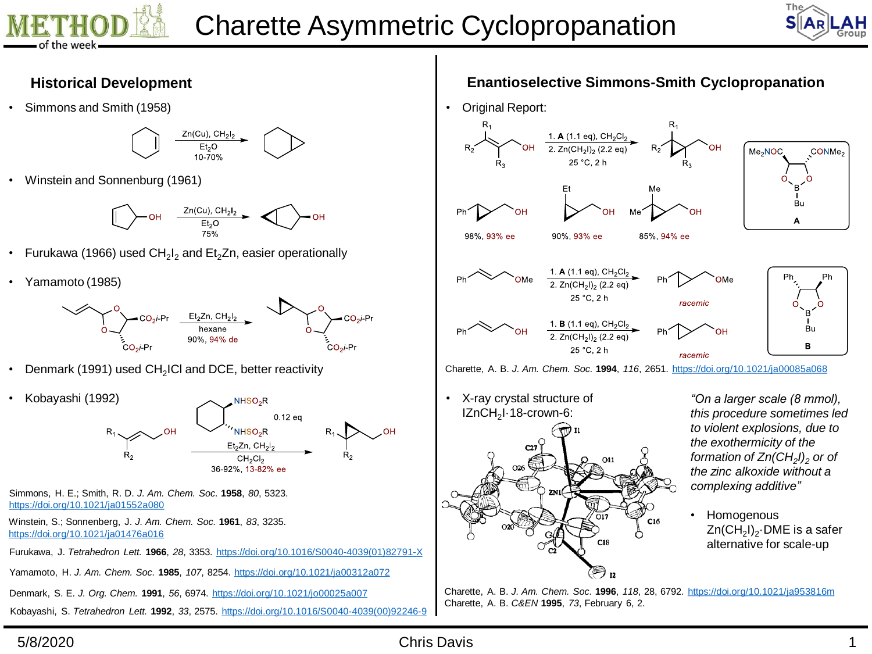



## **Historical Development**

• Simmons and Smith (1958)



• Winstein and Sonnenburg (1961)



- Furukawa (1966) used CH<sub>2</sub>I<sub>2</sub> and Et<sub>2</sub>Zn, easier operationally
- Yamamoto (1985)



- Denmark (1991) used CH<sub>2</sub>ICI and DCE, better reactivity
- Kobayashi (1992) NHSO<sub>2</sub>R  $0.12$ eq NHSO<sub>2</sub>R Et<sub>2</sub>Zn, CH<sub>2</sub>I<sub>2</sub> CH<sub>2</sub>CI<sub>2</sub> 36-92%, 13-82% ee
- Simmons, H. E.; Smith, R. D. *J. Am. Chem. Soc.* **1958**, *80*, 5323. <https://doi.org/10.1021/ja01552a080>
- Winstein, S.; Sonnenberg, J. *J. Am. Chem. Soc.* **1961**, *83*, 3235. <https://doi.org/10.1021/ja01476a016>
- Furukawa, J. *Tetrahedron Lett.* **1966**, *28*, 3353. [https://doi.org/10.1016/S0040-4039\(01\)82791-X](https://doi.org/10.1016/S0040-4039(01)82791-X)

Yamamoto, H. *J. Am. Chem. Soc.* **1985**, *107*, 8254. <https://doi.org/10.1021/ja00312a072>

Denmark, S. E. *J. Org. Chem.* **1991**, *56*, 6974. <https://doi.org/10.1021/jo00025a007>

Kobayashi, S. *Tetrahedron Lett.* **1992**, *33*, 2575. [https://doi.org/10.1016/S0040-4039\(00\)92246-9](https://doi.org/10.1016/S0040-4039(00)92246-9)

## **Enantioselective Simmons-Smith Cyclopropanation**



• X-ray crystal structure of IZnCH<sub>2</sub>I-18-crown-6:  $C16$  $C18$ 

*"On a larger scale (8 mmol), this procedure sometimes led to violent explosions, due to the exothermicity of the formation of Zn(CH<sup>2</sup> I)<sup>2</sup> or of the zinc alkoxide without a complexing additive"*

• Homogenous Zn(CH $_2$ I) $_2$  $\cdot$ DME is a safer alternative for scale-up

Charette, A. B. *J. Am. Chem. Soc.* **1996**, *118*, 28, 6792. <https://doi.org/10.1021/ja953816m> Charette, A. B. *C&EN* **1995**, *73*, February 6, 2.